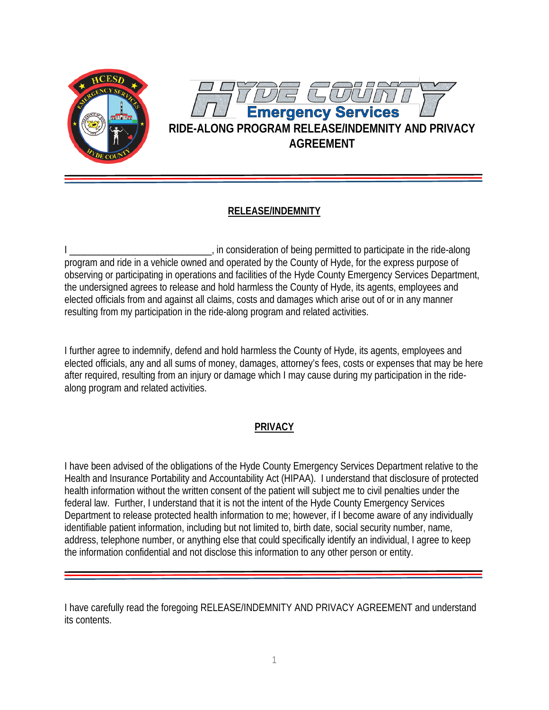

## **RELEASE/INDEMNITY**

I in consideration of being permitted to participate in the ride-along program and ride in a vehicle owned and operated by the County of Hyde, for the express purpose of observing or participating in operations and facilities of the Hyde County Emergency Services Department, the undersigned agrees to release and hold harmless the County of Hyde, its agents, employees and elected officials from and against all claims, costs and damages which arise out of or in any manner resulting from my participation in the ride-along program and related activities.

I further agree to indemnify, defend and hold harmless the County of Hyde, its agents, employees and elected officials, any and all sums of money, damages, attorney's fees, costs or expenses that may be here after required, resulting from an injury or damage which I may cause during my participation in the ridealong program and related activities.

## **PRIVACY**

I have been advised of the obligations of the Hyde County Emergency Services Department relative to the Health and Insurance Portability and Accountability Act (HIPAA). I understand that disclosure of protected health information without the written consent of the patient will subject me to civil penalties under the federal law. Further, I understand that it is not the intent of the Hyde County Emergency Services Department to release protected health information to me; however, if I become aware of any individually identifiable patient information, including but not limited to, birth date, social security number, name, address, telephone number, or anything else that could specifically identify an individual, I agree to keep the information confidential and not disclose this information to any other person or entity.

I have carefully read the foregoing RELEASE/INDEMNITY AND PRIVACY AGREEMENT and understand its contents.